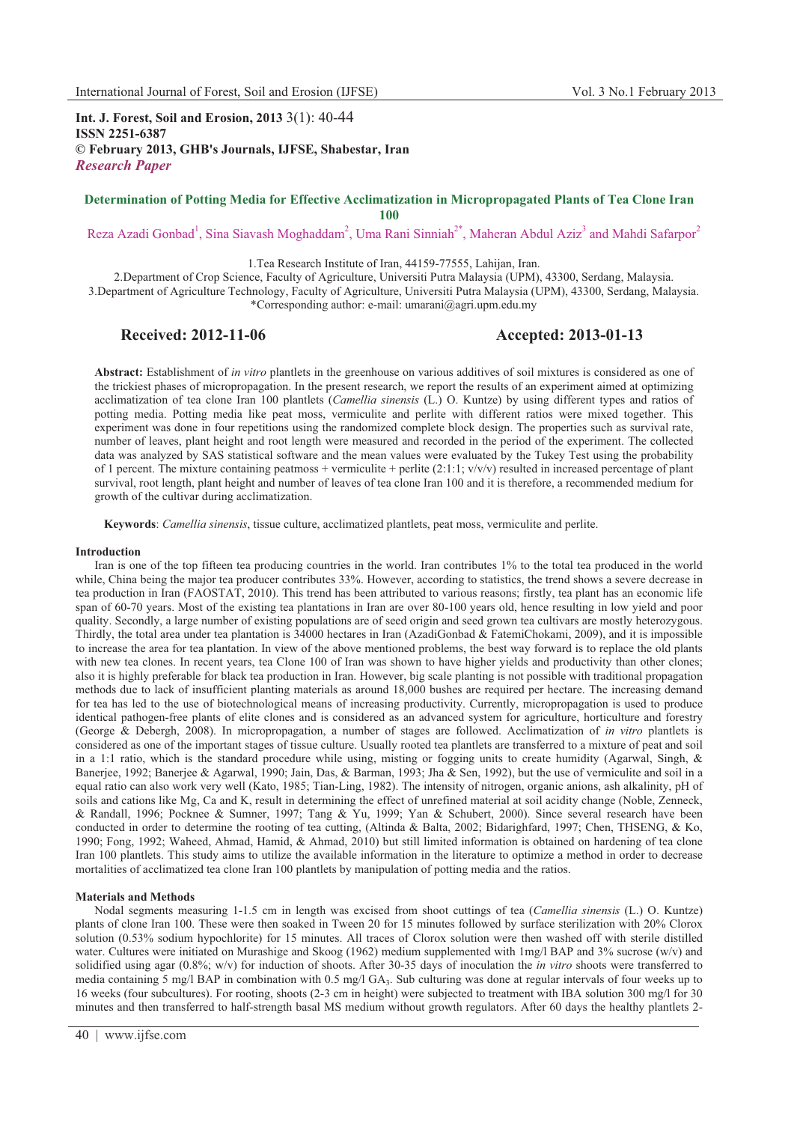**Int. J. Forest, Soil and Erosion, 2013** 3(1): 40-44 **ISSN 2251-6387 © February 2013, GHB's Journals, IJFSE, Shabestar, Iran** *Research Paper*

## **Determination of Potting Media for Effective Acclimatization in Micropropagated Plants of Tea Clone Iran 100**

Reza Azadi Gonbad<sup>1</sup>, Sina Siavash Moghaddam<sup>2</sup>, Uma Rani Sinniah<sup>2\*</sup>, Maheran Abdul Aziz<sup>3</sup> and Mahdi Safarpor<sup>2</sup>

1.Tea Research Institute of Iran, 44159-77555, Lahijan, Iran.

2.Department of Crop Science, Faculty of Agriculture, Universiti Putra Malaysia (UPM), 43300, Serdang, Malaysia. 3.Department of Agriculture Technology, Faculty of Agriculture, Universiti Putra Malaysia (UPM), 43300, Serdang, Malaysia. \*Corresponding author: e-mail: umarani@agri.upm.edu.my

# **Received: 2012-11-06 Accepted: 2013-01-13**

**Abstract:** Establishment of *in vitro* plantlets in the greenhouse on various additives of soil mixtures is considered as one of the trickiest phases of micropropagation. In the present research, we report the results of an experiment aimed at optimizing acclimatization of tea clone Iran 100 plantlets (*Camellia sinensis* (L.) O. Kuntze) by using different types and ratios of potting media. Potting media like peat moss, vermiculite and perlite with different ratios were mixed together. This experiment was done in four repetitions using the randomized complete block design. The properties such as survival rate, number of leaves, plant height and root length were measured and recorded in the period of the experiment. The collected data was analyzed by SAS statistical software and the mean values were evaluated by the Tukey Test using the probability of 1 percent. The mixture containing peatmoss + vermiculite + perlite  $(2:1:1; v/v/v)$  resulted in increased percentage of plant survival, root length, plant height and number of leaves of tea clone Iran 100 and it is therefore, a recommended medium for growth of the cultivar during acclimatization.

**Keywords**: *Camellia sinensis*, tissue culture, acclimatized plantlets, peat moss, vermiculite and perlite.

#### **Introduction**

Iran is one of the top fifteen tea producing countries in the world. Iran contributes 1% to the total tea produced in the world while, China being the major tea producer contributes 33%. However, according to statistics, the trend shows a severe decrease in tea production in Iran (FAOSTAT, 2010). This trend has been attributed to various reasons; firstly, tea plant has an economic life span of 60-70 years. Most of the existing tea plantations in Iran are over 80-100 years old, hence resulting in low yield and poor quality. Secondly, a large number of existing populations are of seed origin and seed grown tea cultivars are mostly heterozygous. Thirdly, the total area under tea plantation is 34000 hectares in Iran (AzadiGonbad & FatemiChokami, 2009), and it is impossible to increase the area for tea plantation. In view of the above mentioned problems, the best way forward is to replace the old plants with new tea clones. In recent years, tea Clone 100 of Iran was shown to have higher yields and productivity than other clones; also it is highly preferable for black tea production in Iran. However, big scale planting is not possible with traditional propagation methods due to lack of insufficient planting materials as around 18,000 bushes are required per hectare. The increasing demand for tea has led to the use of biotechnological means of increasing productivity. Currently, micropropagation is used to produce identical pathogen-free plants of elite clones and is considered as an advanced system for agriculture, horticulture and forestry (George & Debergh, 2008). In micropropagation, a number of stages are followed. Acclimatization of *in vitro* plantlets is considered as one of the important stages of tissue culture. Usually rooted tea plantlets are transferred to a mixture of peat and soil in a 1:1 ratio, which is the standard procedure while using, misting or fogging units to create humidity (Agarwal, Singh, & Banerjee, 1992; Banerjee & Agarwal, 1990; Jain, Das, & Barman, 1993; Jha & Sen, 1992), but the use of vermiculite and soil in a equal ratio can also work very well (Kato, 1985; Tian-Ling, 1982). The intensity of nitrogen, organic anions, ash alkalinity, pH of soils and cations like Mg, Ca and K, result in determining the effect of unrefined material at soil acidity change (Noble, Zenneck, & Randall, 1996; Pocknee & Sumner, 1997; Tang & Yu, 1999; Yan & Schubert, 2000). Since several research have been conducted in order to determine the rooting of tea cutting, (Altinda & Balta, 2002; Bidarighfard, 1997; Chen, THSENG, & Ko, 1990; Fong, 1992; Waheed, Ahmad, Hamid, & Ahmad, 2010) but still limited information is obtained on hardening of tea clone Iran 100 plantlets. This study aims to utilize the available information in the literature to optimize a method in order to decrease mortalities of acclimatized tea clone Iran 100 plantlets by manipulation of potting media and the ratios.

#### **Materials and Methods**

Nodal segments measuring 1-1.5 cm in length was excised from shoot cuttings of tea (*Camellia sinensis* (L.) O. Kuntze) plants of clone Iran 100. These were then soaked in Tween 20 for 15 minutes followed by surface sterilization with 20% Clorox solution (0.53% sodium hypochlorite) for 15 minutes. All traces of Clorox solution were then washed off with sterile distilled water. Cultures were initiated on Murashige and Skoog (1962) medium supplemented with 1mg/l BAP and 3% sucrose (w/v) and solidified using agar (0.8%; w/v) for induction of shoots. After 30-35 days of inoculation the *in vitro* shoots were transferred to media containing 5 mg/l BAP in combination with  $0.5$  mg/l GA<sub>3</sub>. Sub culturing was done at regular intervals of four weeks up to 16 weeks (four subcultures). For rooting, shoots (2-3 cm in height) were subjected to treatment with IBA solution 300 mg/l for 30 minutes and then transferred to half-strength basal MS medium without growth regulators. After 60 days the healthy plantlets 2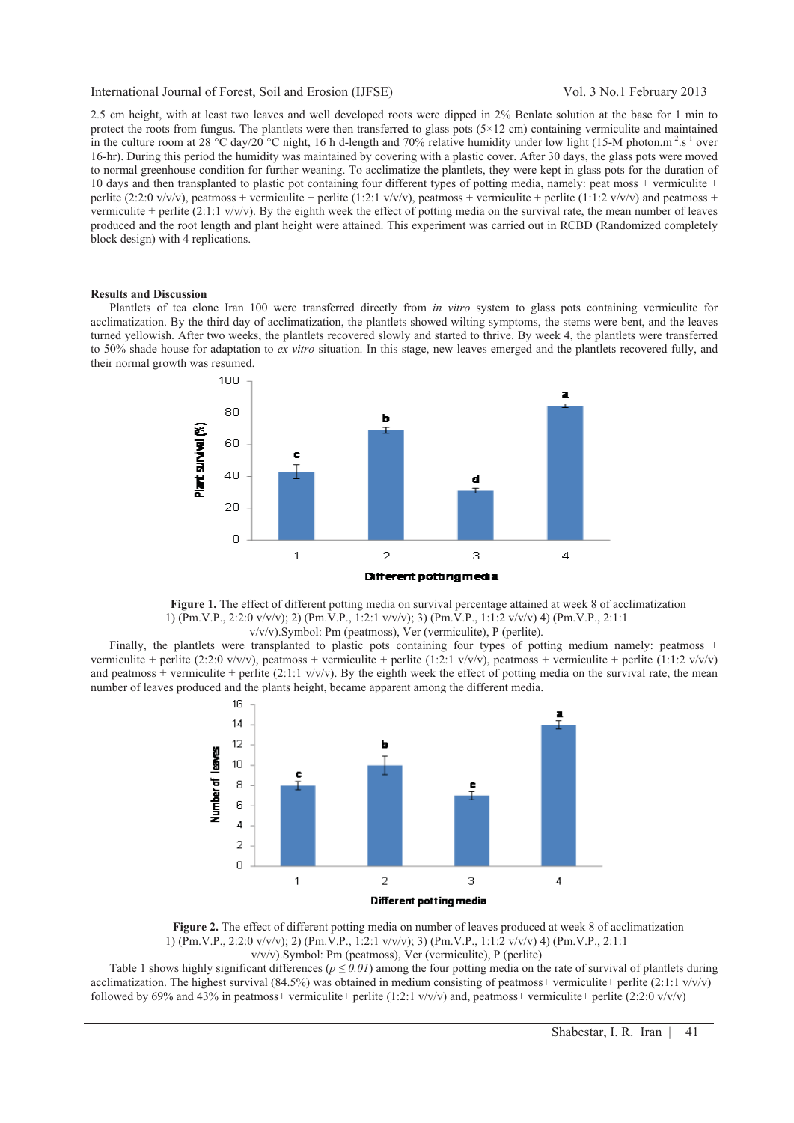2.5 cm height, with at least two leaves and well developed roots were dipped in 2% Benlate solution at the base for 1 min to protect the roots from fungus. The plantlets were then transferred to glass pots (5×12 cm) containing vermiculite and maintained in the culture room at 28 °C day/20 °C night, 16 h d-length and 70% relative humidity under low light (15-M photon.m<sup>-2</sup>.s<sup>-1</sup> over 16-hr). During this period the humidity was maintained by covering with a plastic cover. After 30 days, the glass pots were moved to normal greenhouse condition for further weaning. To acclimatize the plantlets, they were kept in glass pots for the duration of 10 days and then transplanted to plastic pot containing four different types of potting media, namely: peat moss + vermiculite + perlite (2:2:0 v/v/v), peatmoss + vermiculite + perlite (1:2:1 v/v/v), peatmoss + vermiculite + perlite (1:1:2 v/v/v) and peatmoss + vermiculite + perlite (2:1:1 v/v/v). By the eighth week the effect of potting media on the survival rate, the mean number of leaves produced and the root length and plant height were attained. This experiment was carried out in RCBD (Randomized completely block design) with 4 replications.

#### **Results and Discussion**

Plantlets of tea clone Iran 100 were transferred directly from *in vitro* system to glass pots containing vermiculite for acclimatization. By the third day of acclimatization, the plantlets showed wilting symptoms, the stems were bent, and the leaves turned yellowish. After two weeks, the plantlets recovered slowly and started to thrive. By week 4, the plantlets were transferred to 50% shade house for adaptation to *ex vitro* situation. In this stage, new leaves emerged and the plantlets recovered fully, and their normal growth was resumed.



**Figure 1.** The effect of different potting media on survival percentage attained at week 8 of acclimatization 1) (Pm.V.P., 2:2:0 v/v/v); 2) (Pm.V.P., 1:2:1 v/v/v); 3) (Pm.V.P., 1:1:2 v/v/v) 4) (Pm.V.P., 2:1:1 v/v/v).Symbol: Pm (peatmoss), Ver (vermiculite), P (perlite).

Finally, the plantlets were transplanted to plastic pots containing four types of potting medium namely: peatmoss + vermiculite + perlite (2:2:0 v/v/v), peatmoss + vermiculite + perlite (1:2:1 v/v/v), peatmoss + vermiculite + perlite (1:1:2 v/v/v) and peatmoss + vermiculite + perlite (2:1:1 v/v/v). By the eighth week the effect of potting media on the survival rate, the mean number of leaves produced and the plants height, became apparent among the different media.



**Figure 2.** The effect of different potting media on number of leaves produced at week 8 of acclimatization 1) (Pm.V.P., 2:2:0 v/v/v); 2) (Pm.V.P., 1:2:1 v/v/v); 3) (Pm.V.P., 1:1:2 v/v/v) 4) (Pm.V.P., 2:1:1 v/v/v).Symbol: Pm (peatmoss), Ver (vermiculite), P (perlite)

Table 1 shows highly significant differences ( $p \le 0.01$ ) among the four potting media on the rate of survival of plantlets during acclimatization. The highest survival  $(84.5%)$  was obtained in medium consisting of peatmoss+ vermiculite+ perlite  $(2:1:1 \text{ v/v/v})$ followed by 69% and 43% in peatmoss+ vermiculite+ perlite (1:2:1  $v/v/v$ ) and, peatmoss+ vermiculite+ perlite (2:2:0  $v/v/v$ )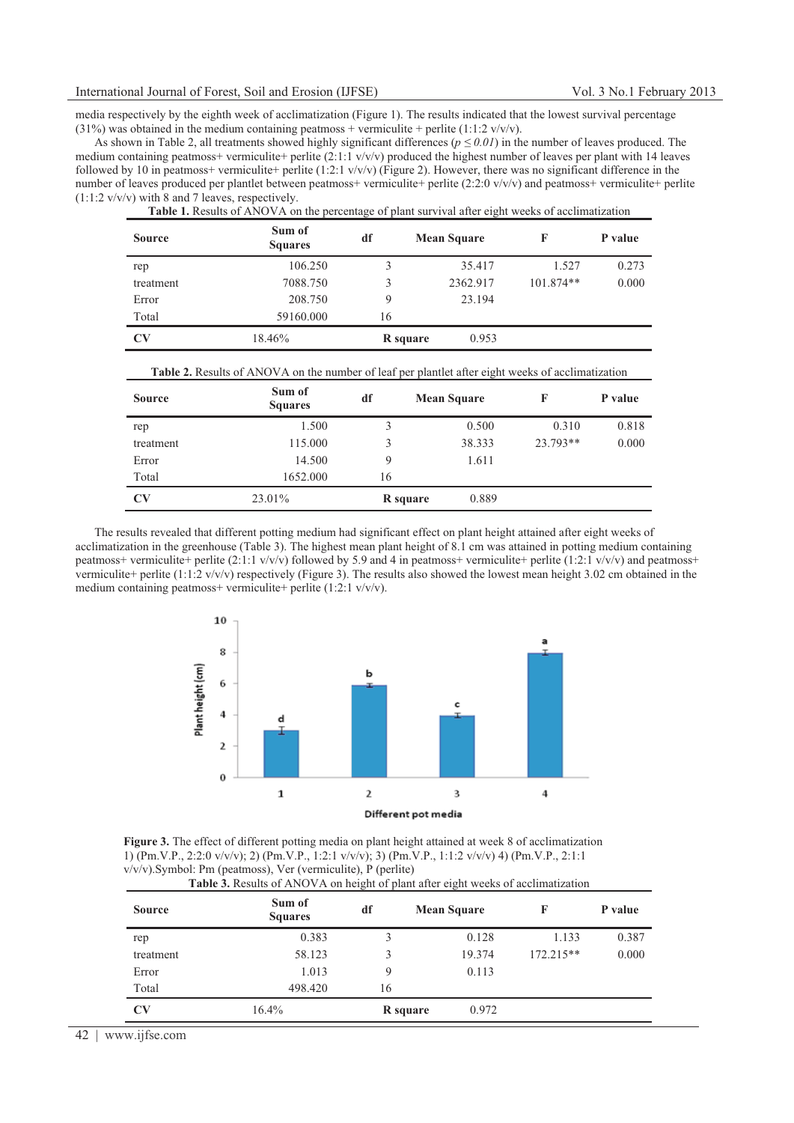media respectively by the eighth week of acclimatization (Figure 1). The results indicated that the lowest survival percentage (31%) was obtained in the medium containing peatmoss + vermiculite + perlite (1:1:2 v/v/v).

As shown in Table 2, all treatments showed highly significant differences  $(p \le 0.01)$  in the number of leaves produced. The medium containing peatmoss+ vermiculite+ perlite  $(2:1:1 \text{ } v/v/v)$  produced the highest number of leaves per plant with 14 leaves followed by 10 in peatmoss+ vermiculite+ perlite (1:2:1 v/v/v) (Figure 2). However, there was no significant difference in the number of leaves produced per plantlet between peatmoss+ vermiculite+ perlite (2:2:0 v/v/v) and peatmoss+ vermiculite+ perlite (1:1:2 v/v/v) with 8 and 7 leaves, respectively.

| <b>Table 1.</b> Results of ANOVA on the percentage of plant survival after eight weeks of acclimatization |                          |          |                    |             |         |
|-----------------------------------------------------------------------------------------------------------|--------------------------|----------|--------------------|-------------|---------|
| <b>Source</b>                                                                                             | Sum of<br><b>Squares</b> | df       | <b>Mean Square</b> |             | P value |
| rep                                                                                                       | 106.250                  | 3        | 35.417             | 1.527       | 0.273   |
| treatment                                                                                                 | 7088.750                 | 3        | 2362.917           | $101.874**$ | 0.000   |
| Error                                                                                                     | 208.750                  | 9        | 23.194             |             |         |
| Total                                                                                                     | 59160.000                | 16       |                    |             |         |
| $\mathbf{C}\mathbf{V}$                                                                                    | 18.46%                   | R square | 0.953              |             |         |

| <b>Table 2.</b> Results of ANOVA on the number of leaf per plantlet after eight weeks of acclimatization |  |  |
|----------------------------------------------------------------------------------------------------------|--|--|
|----------------------------------------------------------------------------------------------------------|--|--|

| <b>Source</b>          | Sum of<br><b>Squares</b> | df       | <b>Mean Square</b> | F        | P value |
|------------------------|--------------------------|----------|--------------------|----------|---------|
| rep                    | 1.500                    | 3        | 0.500              | 0.310    | 0.818   |
| treatment              | 115.000                  | 3        | 38.333             | 23.793** | 0.000   |
| Error                  | 14.500                   | 9        | 1.611              |          |         |
| Total                  | 1652.000                 | 16       |                    |          |         |
| $\mathbf{C}\mathbf{V}$ | 23.01%                   | R square | 0.889              |          |         |

The results revealed that different potting medium had significant effect on plant height attained after eight weeks of acclimatization in the greenhouse (Table 3). The highest mean plant height of 8.1 cm was attained in potting medium containing peatmoss+ vermiculite+ perlite (2:1:1  $v/v/v$ ) followed by 5.9 and 4 in peatmoss+ vermiculite+ perlite (1:2:1  $v/v/v$ ) and peatmoss+ vermiculite+ perlite (1:1:2 v/v/v) respectively (Figure 3). The results also showed the lowest mean height 3.02 cm obtained in the medium containing peatmoss+ vermiculite+ perlite (1:2:1 v/v/v).



**Figure 3.** The effect of different potting media on plant height attained at week 8 of acclimatization 1) (Pm.V.P., 2:2:0 v/v/v); 2) (Pm.V.P., 1:2:1 v/v/v); 3) (Pm.V.P., 1:1:2 v/v/v) 4) (Pm.V.P., 2:1:1 v/v/v).Symbol: Pm (peatmoss), Ver (vermiculite), P (perlite)

| <b>Source</b>          | Sum of<br><b>Squares</b> | df       | <b>Mean Square</b> | F           | P value |
|------------------------|--------------------------|----------|--------------------|-------------|---------|
| rep                    | 0.383                    | 3        | 0.128              | 1.133       | 0.387   |
| treatment              | 58.123                   | 3        | 19.374             | $172.215**$ | 0.000   |
| Error                  | 1.013                    | 9        | 0.113              |             |         |
| Total                  | 498.420                  | 16       |                    |             |         |
| $\mathbf{C}\mathbf{V}$ | $16.4\%$                 | R square | 0.972              |             |         |

42 | www.ijfse.com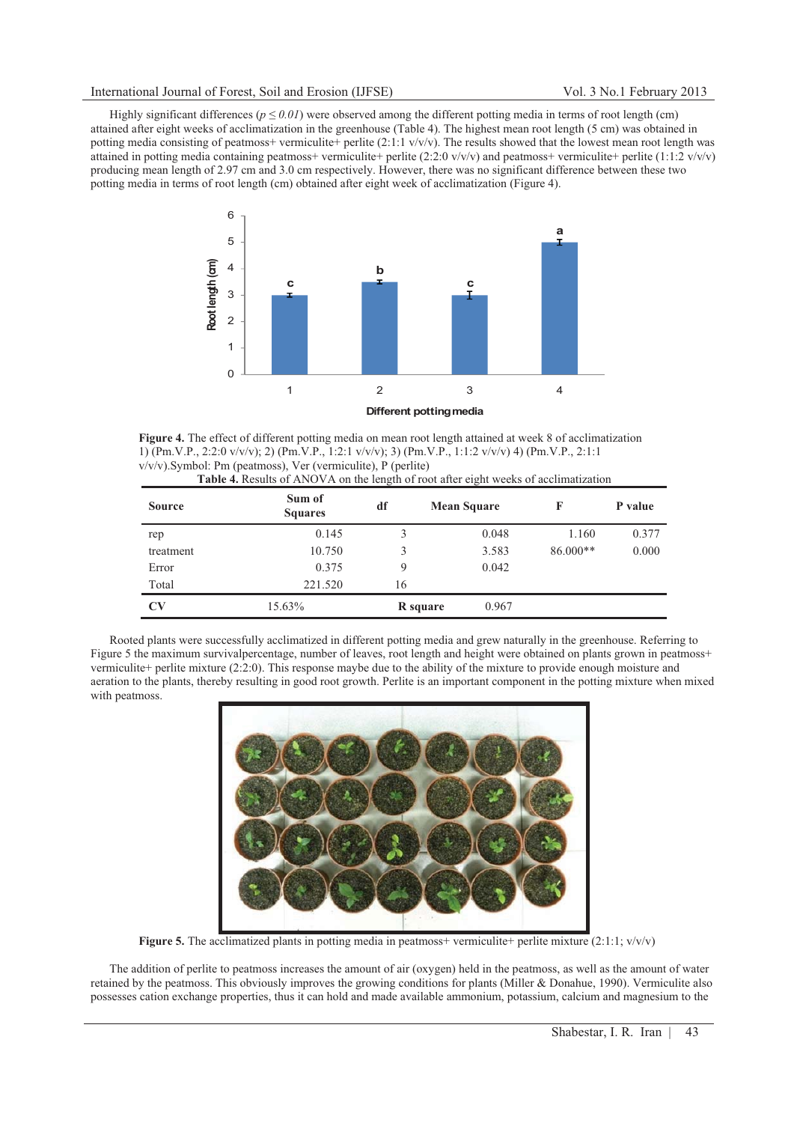Highly significant differences ( $p \le 0.01$ ) were observed among the different potting media in terms of root length (cm) attained after eight weeks of acclimatization in the greenhouse (Table 4). The highest mean root length (5 cm) was obtained in potting media consisting of peatmoss+ vermiculite+ perlite  $(2:1:1 \text{ v/v/v})$ . The results showed that the lowest mean root length was attained in potting media containing peatmoss+ vermiculite+ perlite (2:2:0 v/v/v) and peatmoss+ vermiculite+ perlite (1:1:2 v/v/v) producing mean length of 2.97 cm and 3.0 cm respectively. However, there was no significant difference between these two potting media in terms of root length (cm) obtained after eight week of acclimatization (Figure 4).



**Figure 4.** The effect of different potting media on mean root length attained at week 8 of acclimatization 1) (Pm.V.P., 2:2:0 v/v/v); 2) (Pm.V.P., 1:2:1 v/v/v); 3) (Pm.V.P., 1:1:2 v/v/v) 4) (Pm.V.P., 2:1:1 v/v/v).Symbol: Pm (peatmoss), Ver (vermiculite), P (perlite) **Table 4.** Results of ANOVA on the length of root after eight weeks of acclimatization

| <b>Source</b>          | Sum of<br><b>Squares</b> | df       | <b>Mean Square</b> | F          | P value |
|------------------------|--------------------------|----------|--------------------|------------|---------|
| rep                    | 0.145                    | 3        | 0.048              | 1.160      | 0.377   |
| treatment              | 10.750                   | 3        | 3.583              | $86.000**$ | 0.000   |
| Error                  | 0.375                    | 9        | 0.042              |            |         |
| Total                  | 221.520                  | 16       |                    |            |         |
| $\mathbf{C}\mathbf{V}$ | 15.63%                   | R square | 0.967              |            |         |

Rooted plants were successfully acclimatized in different potting media and grew naturally in the greenhouse. Referring to Figure 5 the maximum survivalpercentage, number of leaves, root length and height were obtained on plants grown in peatmoss+ vermiculite+ perlite mixture (2:2:0). This response maybe due to the ability of the mixture to provide enough moisture and aeration to the plants, thereby resulting in good root growth. Perlite is an important component in the potting mixture when mixed with peatmoss.



**Figure 5.** The acclimatized plants in potting media in peatmoss+ vermiculite+ perlite mixture  $(2:1:1; v/v/v)$ 

The addition of perlite to peatmoss increases the amount of air (oxygen) held in the peatmoss, as well as the amount of water retained by the peatmoss. This obviously improves the growing conditions for plants (Miller & Donahue, 1990). Vermiculite also possesses cation exchange properties, thus it can hold and made available ammonium, potassium, calcium and magnesium to the